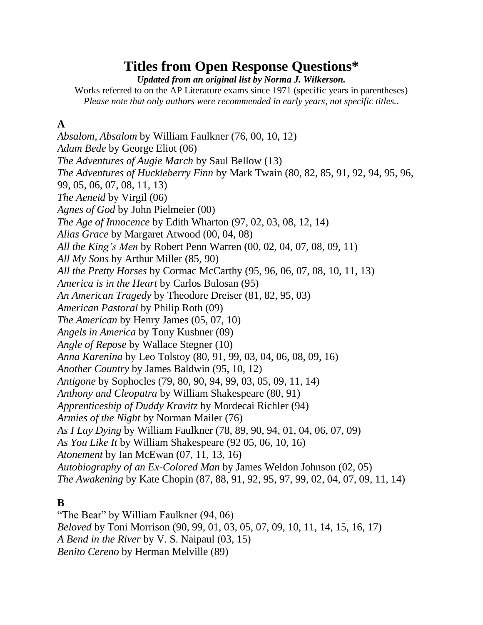# **Titles from Open Response Questions\***

*Updated from an original list by Norma J. Wilkerson.*

Works referred to on the AP Literature exams since 1971 (specific years in parentheses) *Please note that only authors were recommended in early years, not specific titles.*.

#### **A**

*Absalom, Absalom* by William Faulkner (76, 00, 10, 12) *Adam Bede* by George Eliot (06) *The Adventures of Augie March* by Saul Bellow (13) *The Adventures of Huckleberry Finn* by Mark Twain (80, 82, 85, 91, 92, 94, 95, 96, 99, 05, 06, 07, 08, 11, 13) *The Aeneid* by Virgil (06) *Agnes of God* by John Pielmeier (00) *The Age of Innocence* by Edith Wharton (97, 02, 03, 08, 12, 14) *Alias Grace* by Margaret Atwood (00, 04, 08) *All the King's Men* by Robert Penn Warren (00, 02, 04, 07, 08, 09, 11) *All My Sons* by Arthur Miller (85, 90) *All the Pretty Horses* by Cormac McCarthy (95, 96, 06, 07, 08, 10, 11, 13) *America is in the Heart* by Carlos Bulosan (95) *An American Tragedy* by Theodore Dreiser (81, 82, 95, 03) *American Pastoral* by Philip Roth (09) *The American* by Henry James (05, 07, 10) *Angels in America* by Tony Kushner (09) *Angle of Repose* by Wallace Stegner (10) *Anna Karenina* by Leo Tolstoy (80, 91, 99, 03, 04, 06, 08, 09, 16) *Another Country* by James Baldwin (95, 10, 12) *Antigone* by Sophocles (79, 80, 90, 94, 99, 03, 05, 09, 11, 14) *Anthony and Cleopatra* by William Shakespeare (80, 91) *Apprenticeship of Duddy Kravitz* by Mordecai Richler (94) *Armies of the Night* by Norman Mailer (76) *As I Lay Dying* by William Faulkner (78, 89, 90, 94, 01, 04, 06, 07, 09) *As You Like It* by William Shakespeare (92 05, 06, 10, 16) *Atonement* by Ian McEwan (07, 11, 13, 16) *Autobiography of an Ex-Colored Man* by James Weldon Johnson (02, 05) *The Awakening* by Kate Chopin (87, 88, 91, 92, 95, 97, 99, 02, 04, 07, 09, 11, 14)

#### **B**

"The Bear" by William Faulkner (94, 06) *Beloved* by Toni Morrison (90, 99, 01, 03, 05, 07, 09, 10, 11, 14, 15, 16, 17) *A Bend in the River* by V. S. Naipaul (03, 15) *Benito Cereno* by Herman Melville (89)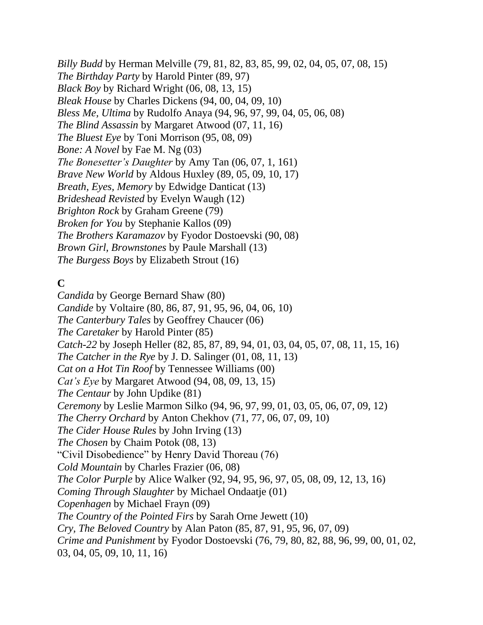*Billy Budd* by Herman Melville (79, 81, 82, 83, 85, 99, 02, 04, 05, 07, 08, 15) *The Birthday Party* by Harold Pinter (89, 97) *Black Boy* by Richard Wright (06, 08, 13, 15) *Bleak House* by Charles Dickens (94, 00, 04, 09, 10) *Bless Me, Ultima* by Rudolfo Anaya (94, 96, 97, 99, 04, 05, 06, 08) *The Blind Assassin* by Margaret Atwood (07, 11, 16) *The Bluest Eye* by Toni Morrison (95, 08, 09) *Bone: A Novel* by Fae M. Ng (03) *The Bonesetter's Daughter* by Amy Tan (06, 07, 1, 161) *Brave New World* by Aldous Huxley (89, 05, 09, 10, 17) *Breath, Eyes, Memory* by Edwidge Danticat (13) *Brideshead Revisted* by Evelyn Waugh (12) *Brighton Rock* by Graham Greene (79) *Broken for You* by Stephanie Kallos (09) *The Brothers Karamazov* by Fyodor Dostoevski (90, 08) *Brown Girl, Brownstones* by Paule Marshall (13) *The Burgess Boys* by Elizabeth Strout (16)

### **C**

*Candida* by George Bernard Shaw (80) *Candide* by Voltaire (80, 86, 87, 91, 95, 96, 04, 06, 10) *The Canterbury Tales* by Geoffrey Chaucer (06) *The Caretaker* by Harold Pinter (85) *Catch-22* by Joseph Heller (82, 85, 87, 89, 94, 01, 03, 04, 05, 07, 08, 11, 15, 16) *The Catcher in the Rye* by J. D. Salinger (01, 08, 11, 13) *Cat on a Hot Tin Roof* by Tennessee Williams (00) *Cat's Eye* by Margaret Atwood (94, 08, 09, 13, 15) *The Centaur* by John Updike (81) *Ceremony* by Leslie Marmon Silko (94, 96, 97, 99, 01, 03, 05, 06, 07, 09, 12) *The Cherry Orchard* by Anton Chekhov (71, 77, 06, 07, 09, 10) *The Cider House Rules* by John Irving (13) *The Chosen* by Chaim Potok (08, 13) "Civil Disobedience" by Henry David Thoreau (76) *Cold Mountain* by Charles Frazier (06, 08) *The Color Purple* by Alice Walker (92, 94, 95, 96, 97, 05, 08, 09, 12, 13, 16) *Coming Through Slaughter* by Michael Ondaatje (01) *Copenhagen* by Michael Frayn (09) *The Country of the Pointed Firs* by Sarah Orne Jewett (10) *Cry, The Beloved Country* by Alan Paton (85, 87, 91, 95, 96, 07, 09) *Crime and Punishment* by Fyodor Dostoevski (76, 79, 80, 82, 88, 96, 99, 00, 01, 02, 03, 04, 05, 09, 10, 11, 16)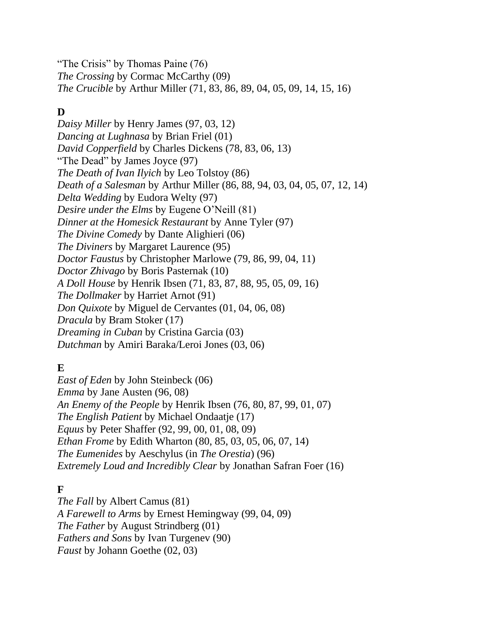"The Crisis" by Thomas Paine (76) *The Crossing* by Cormac McCarthy (09) *The Crucible* by Arthur Miller (71, 83, 86, 89, 04, 05, 09, 14, 15, 16)

#### **D**

*Daisy Miller* by Henry James (97, 03, 12) *Dancing at Lughnasa* by Brian Friel (01) *David Copperfield* by Charles Dickens (78, 83, 06, 13) "The Dead" by James Joyce (97) *The Death of Ivan Ilyich* by Leo Tolstoy (86) *Death of a Salesman* by Arthur Miller (86, 88, 94, 03, 04, 05, 07, 12, 14) *Delta Wedding* by Eudora Welty (97) *Desire under the Elms* by Eugene O'Neill (81) *Dinner at the Homesick Restaurant* by Anne Tyler (97) *The Divine Comedy* by Dante Alighieri (06) *The Diviners* by Margaret Laurence (95) *Doctor Faustus* by Christopher Marlowe (79, 86, 99, 04, 11) *Doctor Zhivago* by Boris Pasternak (10) *A Doll House* by Henrik Ibsen (71, 83, 87, 88, 95, 05, 09, 16) *The Dollmaker* by Harriet Arnot (91) *Don Quixote* by Miguel de Cervantes (01, 04, 06, 08) *Dracula* by Bram Stoker (17) *Dreaming in Cuban* by Cristina Garcia (03) *Dutchman* by Amiri Baraka/Leroi Jones (03, 06)

### **E**

*East of Eden* by John Steinbeck (06) *Emma* by Jane Austen (96, 08) *An Enemy of the People* by Henrik Ibsen (76, 80, 87, 99, 01, 07) *The English Patient* by Michael Ondaatje (17) *Equus* by Peter Shaffer (92, 99, 00, 01, 08, 09) *Ethan Frome* by Edith Wharton (80, 85, 03, 05, 06, 07, 14) *The Eumenides* by Aeschylus (in *The Orestia*) (96) *Extremely Loud and Incredibly Clear* by Jonathan Safran Foer (16)

### **F**

*The Fall* by Albert Camus (81) *A Farewell to Arms* by Ernest Hemingway (99, 04, 09) *The Father* by August Strindberg (01) *Fathers and Sons* by Ivan Turgenev (90) *Faust* by Johann Goethe (02, 03)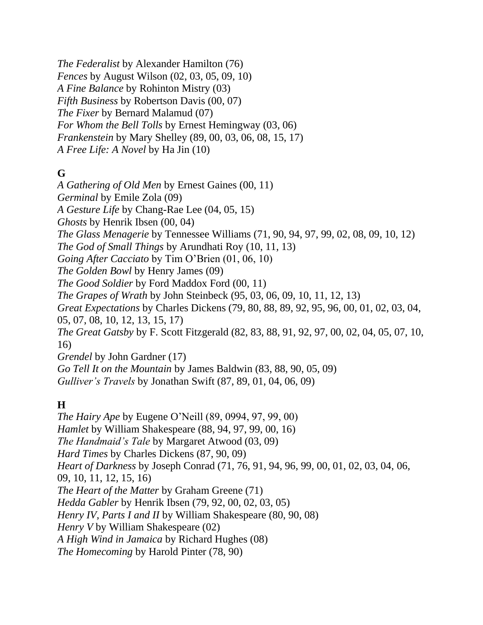*The Federalist* by Alexander Hamilton (76) *Fences* by August Wilson (02, 03, 05, 09, 10) *A Fine Balance* by Rohinton Mistry (03) *Fifth Business* by Robertson Davis (00, 07) *The Fixer* by Bernard Malamud (07) *For Whom the Bell Tolls* by Ernest Hemingway (03, 06) *Frankenstein* by Mary Shelley (89, 00, 03, 06, 08, 15, 17) *A Free Life: A Novel* by Ha Jin (10)

### **G**

*A Gathering of Old Men* by Ernest Gaines (00, 11) *Germinal* by Emile Zola (09) *A Gesture Life* by Chang-Rae Lee (04, 05, 15) *Ghosts* by Henrik Ibsen (00, 04) *The Glass Menagerie* by Tennessee Williams (71, 90, 94, 97, 99, 02, 08, 09, 10, 12) *The God of Small Things* by Arundhati Roy (10, 11, 13) *Going After Cacciato* by Tim O'Brien (01, 06, 10) *The Golden Bowl* by Henry James (09) *The Good Soldier* by Ford Maddox Ford (00, 11) *The Grapes of Wrath* by John Steinbeck (95, 03, 06, 09, 10, 11, 12, 13) *Great Expectations* by Charles Dickens (79, 80, 88, 89, 92, 95, 96, 00, 01, 02, 03, 04, 05, 07, 08, 10, 12, 13, 15, 17) *The Great Gatsby* by F. Scott Fitzgerald (82, 83, 88, 91, 92, 97, 00, 02, 04, 05, 07, 10, 16) *Grendel* by John Gardner (17) *Go Tell It on the Mountain* by James Baldwin (83, 88, 90, 05, 09) *Gulliver's Travels* by Jonathan Swift (87, 89, 01, 04, 06, 09)

# **H**

*The Hairy Ape* by Eugene O'Neill (89, 0994, 97, 99, 00) *Hamlet* by William Shakespeare (88, 94, 97, 99, 00, 16) *The Handmaid's Tale* by Margaret Atwood (03, 09) *Hard Times* by Charles Dickens (87, 90, 09) *Heart of Darkness* by Joseph Conrad (71, 76, 91, 94, 96, 99, 00, 01, 02, 03, 04, 06, 09, 10, 11, 12, 15, 16) *The Heart of the Matter* by Graham Greene (71) *Hedda Gabler* by Henrik Ibsen (79, 92, 00, 02, 03, 05) *Henry IV, Parts I and II* by William Shakespeare (80, 90, 08) *Henry V* by William Shakespeare (02) *A High Wind in Jamaica* by Richard Hughes (08) *The Homecoming* by Harold Pinter (78, 90)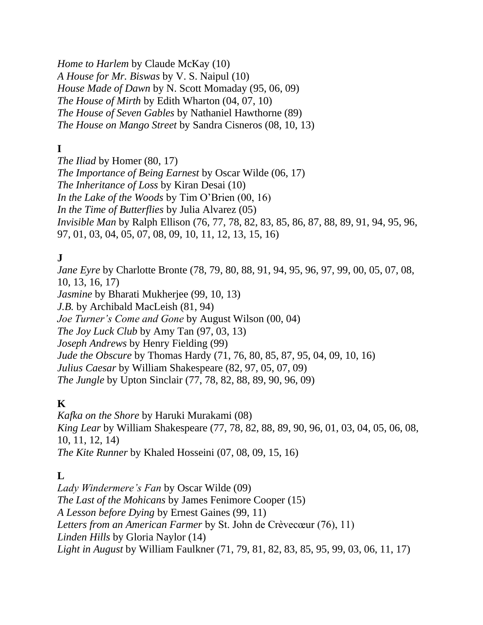*Home to Harlem* by Claude McKay (10) *A House for Mr. Biswas* by V. S. Naipul (10) *House Made of Dawn* by N. Scott Momaday (95, 06, 09) *The House of Mirth* by Edith Wharton (04, 07, 10) *The House of Seven Gables* by Nathaniel Hawthorne (89) *The House on Mango Street* by Sandra Cisneros (08, 10, 13)

# **I**

*The Iliad* by Homer (80, 17) *The Importance of Being Earnest* by Oscar Wilde (06, 17) *The Inheritance of Loss* by Kiran Desai (10) *In the Lake of the Woods* by Tim O'Brien (00, 16) *In the Time of Butterflies* by Julia Alvarez (05) *Invisible Man* by Ralph Ellison (76, 77, 78, 82, 83, 85, 86, 87, 88, 89, 91, 94, 95, 96, 97, 01, 03, 04, 05, 07, 08, 09, 10, 11, 12, 13, 15, 16)

### **J**

*Jane Eyre* by Charlotte Bronte (78, 79, 80, 88, 91, 94, 95, 96, 97, 99, 00, 05, 07, 08, 10, 13, 16, 17) *Jasmine* by Bharati Mukherjee (99, 10, 13) *J.B.* by Archibald MacLeish (81, 94) *Joe Turner's Come and Gone* by August Wilson (00, 04) *The Joy Luck Club* by Amy Tan (97, 03, 13) *Joseph Andrews* by Henry Fielding (99) *Jude the Obscure* by Thomas Hardy (71, 76, 80, 85, 87, 95, 04, 09, 10, 16) *Julius Caesar* by William Shakespeare (82, 97, 05, 07, 09) *The Jungle* by Upton Sinclair (77, 78, 82, 88, 89, 90, 96, 09)

#### **K**

*Kafka on the Shore* by Haruki Murakami (08) *King Lear* by William Shakespeare (77, 78, 82, 88, 89, 90, 96, 01, 03, 04, 05, 06, 08, 10, 11, 12, 14) *The Kite Runner* by Khaled Hosseini (07, 08, 09, 15, 16)

#### **L**

*Lady Windermere's Fan* by Oscar Wilde (09) *The Last of the Mohicans* by James Fenimore Cooper (15) *A Lesson before Dying* by Ernest Gaines (99, 11) *Letters from an American Farmer* by St. John de Crèvecœur (76), 11) *Linden Hills* by Gloria Naylor (14) *Light in August* by William Faulkner (71, 79, 81, 82, 83, 85, 95, 99, 03, 06, 11, 17)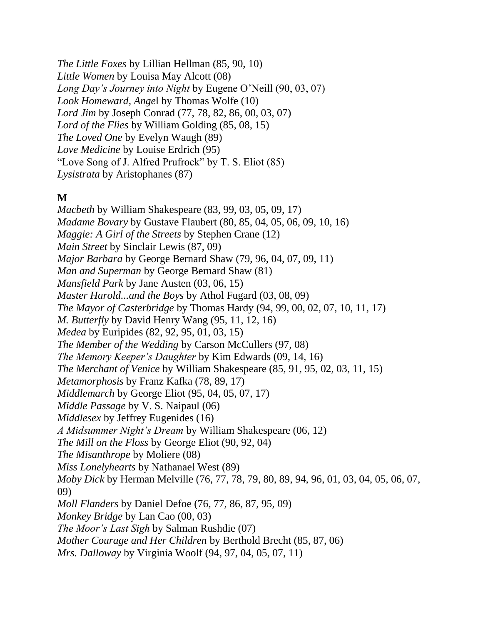*The Little Foxes* by Lillian Hellman (85, 90, 10) *Little Women* by Louisa May Alcott (08) *Long Day's Journey into Night* by Eugene O'Neill (90, 03, 07) *Look Homeward, Ange*l by Thomas Wolfe (10) *Lord Jim* by Joseph Conrad (77, 78, 82, 86, 00, 03, 07) *Lord of the Flies* by William Golding (85, 08, 15) *The Loved One* by Evelyn Waugh (89) *Love Medicine* by Louise Erdrich (95) "Love Song of J. Alfred Prufrock" by T. S. Eliot (85) *Lysistrata* by Aristophanes (87)

#### **M**

*Macbeth* by William Shakespeare (83, 99, 03, 05, 09, 17) *Madame Bovary* by Gustave Flaubert (80, 85, 04, 05, 06, 09, 10, 16) *Maggie: A Girl of the Streets* by Stephen Crane (12) *Main Street* by Sinclair Lewis (87, 09) *Major Barbara* by George Bernard Shaw (79, 96, 04, 07, 09, 11) *Man and Superman* by George Bernard Shaw (81) *Mansfield Park* by Jane Austen (03, 06, 15) *Master Harold...and the Boys* by Athol Fugard (03, 08, 09) *The Mayor of Casterbridge* by Thomas Hardy (94, 99, 00, 02, 07, 10, 11, 17) *M. Butterfly* by David Henry Wang (95, 11, 12, 16) *Medea* by Euripides (82, 92, 95, 01, 03, 15) *The Member of the Wedding* by Carson McCullers (97, 08) *The Memory Keeper's Daughter* by Kim Edwards (09, 14, 16) *The Merchant of Venice* by William Shakespeare (85, 91, 95, 02, 03, 11, 15) *Metamorphosis* by Franz Kafka (78, 89, 17) *Middlemarch* by George Eliot (95, 04, 05, 07, 17) *Middle Passage* by V. S. Naipaul (06) *Middlesex* by Jeffrey Eugenides (16) *A Midsummer Night's Dream* by William Shakespeare (06, 12) *The Mill on the Floss* by George Eliot (90, 92, 04) *The Misanthrope* by Moliere (08) *Miss Lonelyhearts* by Nathanael West (89) *Moby Dick* by Herman Melville (76, 77, 78, 79, 80, 89, 94, 96, 01, 03, 04, 05, 06, 07, 09) *Moll Flanders* by Daniel Defoe (76, 77, 86, 87, 95, 09) *Monkey Bridge* by Lan Cao (00, 03) *The Moor's Last Sigh* by Salman Rushdie (07) *Mother Courage and Her Children* by Berthold Brecht (85, 87, 06) *Mrs. Dalloway* by Virginia Woolf (94, 97, 04, 05, 07, 11)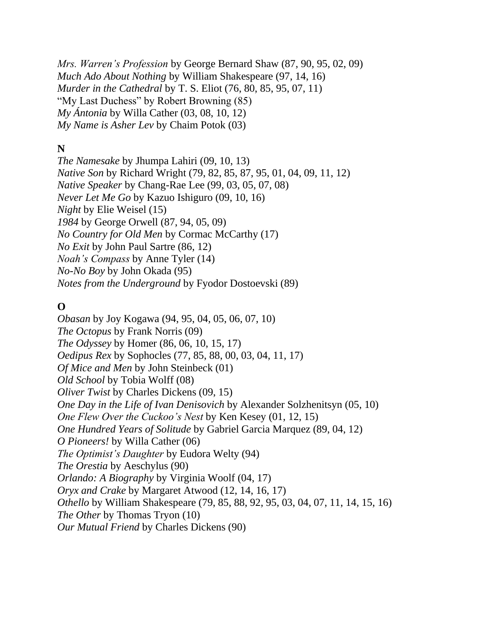*Mrs. Warren's Profession* by George Bernard Shaw (87, 90, 95, 02, 09) *Much Ado About Nothing* by William Shakespeare (97, 14, 16) *Murder in the Cathedral* by T. S. Eliot (76, 80, 85, 95, 07, 11) "My Last Duchess" by Robert Browning (85) *My Ántonia* by Willa Cather (03, 08, 10, 12) *My Name is Asher Lev* by Chaim Potok (03)

#### **N**

*The Namesake* by Jhumpa Lahiri (09, 10, 13) *Native Son* by Richard Wright (79, 82, 85, 87, 95, 01, 04, 09, 11, 12) *Native Speaker* by Chang-Rae Lee (99, 03, 05, 07, 08) *Never Let Me Go* by Kazuo Ishiguro (09, 10, 16) *Night* by Elie Weisel (15) *1984* by George Orwell (87, 94, 05, 09) *No Country for Old Men* by Cormac McCarthy (17) *No Exit* by John Paul Sartre (86, 12) *Noah's Compass* by Anne Tyler (14) *No-No Boy* by John Okada (95) *Notes from the Underground* by Fyodor Dostoevski (89)

### **O**

*Obasan* by Joy Kogawa (94, 95, 04, 05, 06, 07, 10) *The Octopus* by Frank Norris (09) *The Odyssey* by Homer (86, 06, 10, 15, 17) *Oedipus Rex* by Sophocles (77, 85, 88, 00, 03, 04, 11, 17) *Of Mice and Men* by John Steinbeck (01) *Old School* by Tobia Wolff (08) *Oliver Twist* by Charles Dickens (09, 15) *One Day in the Life of Ivan Denisovich* by Alexander Solzhenitsyn (05, 10) *One Flew Over the Cuckoo's Nest* by Ken Kesey (01, 12, 15) *One Hundred Years of Solitude* by Gabriel Garcia Marquez (89, 04, 12) *O Pioneers!* by Willa Cather (06) *The Optimist's Daughter* by Eudora Welty (94) *The Orestia* by Aeschylus (90) *Orlando: A Biography* by Virginia Woolf (04, 17) *Oryx and Crake* by Margaret Atwood (12, 14, 16, 17) *Othello* by William Shakespeare (79, 85, 88, 92, 95, 03, 04, 07, 11, 14, 15, 16) *The Other* by Thomas Tryon (10) *Our Mutual Friend* by Charles Dickens (90)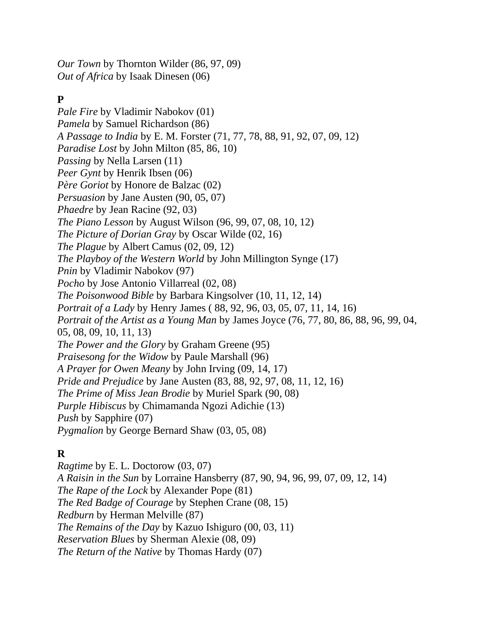*Our Town* by Thornton Wilder (86, 97, 09) *Out of Africa* by Isaak Dinesen (06)

# **P**

*Pale Fire* by Vladimir Nabokov (01) *Pamela* by Samuel Richardson (86) *A Passage to India* by E. M. Forster (71, 77, 78, 88, 91, 92, 07, 09, 12) *Paradise Lost* by John Milton (85, 86, 10) *Passing* by Nella Larsen (11) *Peer Gynt* by Henrik Ibsen (06) *Père Goriot* by Honore de Balzac (02) *Persuasion* by Jane Austen (90, 05, 07) *Phaedre* by Jean Racine (92, 03) *The Piano Lesson* by August Wilson (96, 99, 07, 08, 10, 12) *The Picture of Dorian Gray* by Oscar Wilde (02, 16) *The Plague* by Albert Camus (02, 09, 12) *The Playboy of the Western World* by John Millington Synge (17) *Pnin* by Vladimir Nabokov (97) *Pocho* by Jose Antonio Villarreal (02, 08) *The Poisonwood Bible* by Barbara Kingsolver (10, 11, 12, 14) *Portrait of a Lady* by Henry James ( 88, 92, 96, 03, 05, 07, 11, 14, 16) *Portrait of the Artist as a Young Man* by James Joyce (76, 77, 80, 86, 88, 96, 99, 04, 05, 08, 09, 10, 11, 13) *The Power and the Glory* by Graham Greene (95) *Praisesong for the Widow* by Paule Marshall (96) *A Prayer for Owen Meany* by John Irving (09, 14, 17) *Pride and Prejudice* by Jane Austen (83, 88, 92, 97, 08, 11, 12, 16) *The Prime of Miss Jean Brodie* by Muriel Spark (90, 08) *Purple Hibiscus* by Chimamanda Ngozi Adichie (13) *Push* by Sapphire (07) *Pygmalion* by George Bernard Shaw (03, 05, 08)

# **R**

*Ragtime* by E. L. Doctorow (03, 07) *A Raisin in the Sun* by Lorraine Hansberry (87, 90, 94, 96, 99, 07, 09, 12, 14) *The Rape of the Lock* by Alexander Pope (81) *The Red Badge of Courage* by Stephen Crane (08, 15) *Redburn* by Herman Melville (87) *The Remains of the Day* by Kazuo Ishiguro (00, 03, 11) *Reservation Blues* by Sherman Alexie (08, 09) *The Return of the Native* by Thomas Hardy (07)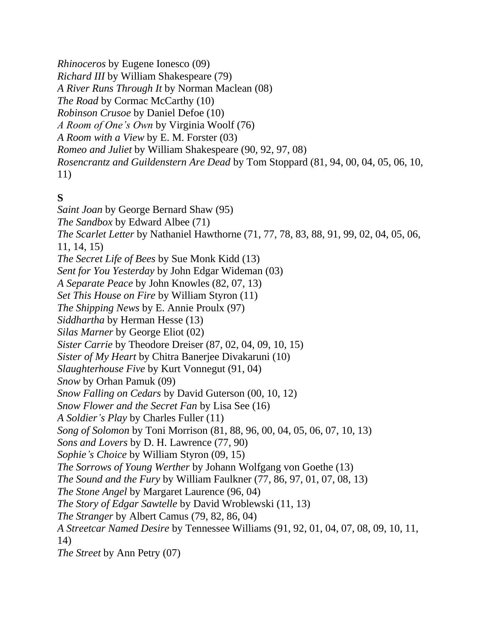*Rhinoceros* by Eugene Ionesco (09) *Richard III* by William Shakespeare (79) *A River Runs Through It* by Norman Maclean (08) *The Road* by Cormac McCarthy (10) *Robinson Crusoe* by Daniel Defoe (10) *A Room of One's Own* by Virginia Woolf (76) *A Room with a View* by E. M. Forster (03) *Romeo and Juliet* by William Shakespeare (90, 92, 97, 08) *Rosencrantz and Guildenstern Are Dead* by Tom Stoppard (81, 94, 00, 04, 05, 06, 10, 11)

### **S**

*Saint Joan* by George Bernard Shaw (95) *The Sandbox* by Edward Albee (71) *The Scarlet Letter* by Nathaniel Hawthorne (71, 77, 78, 83, 88, 91, 99, 02, 04, 05, 06, 11, 14, 15) *The Secret Life of Bees* by Sue Monk Kidd (13) *Sent for You Yesterday* by John Edgar Wideman (03) *A Separate Peace* by John Knowles (82, 07, 13) *Set This House on Fire* by William Styron (11) *The Shipping News* by E. Annie Proulx (97) *Siddhartha* by Herman Hesse (13) *Silas Marner* by George Eliot (02) *Sister Carrie* by Theodore Dreiser (87, 02, 04, 09, 10, 15) *Sister of My Heart* by Chitra Banerjee Divakaruni (10) *Slaughterhouse Five* by Kurt Vonnegut (91, 04) *Snow* by Orhan Pamuk (09) *Snow Falling on Cedars* by David Guterson (00, 10, 12) *Snow Flower and the Secret Fan* by Lisa See (16) *A Soldier's Play* by Charles Fuller (11) *Song of Solomon* by Toni Morrison (81, 88, 96, 00, 04, 05, 06, 07, 10, 13) *Sons and Lovers* by D. H. Lawrence (77, 90) *Sophie's Choice* by William Styron (09, 15) *The Sorrows of Young Werther* by Johann Wolfgang von Goethe (13) *The Sound and the Fury* by William Faulkner (77, 86, 97, 01, 07, 08, 13) *The Stone Angel* by Margaret Laurence (96, 04) *The Story of Edgar Sawtelle* by David Wroblewski (11, 13) *The Stranger* by Albert Camus (79, 82, 86, 04) *A Streetcar Named Desire* by Tennessee Williams (91, 92, 01, 04, 07, 08, 09, 10, 11, 14) *The Street* by Ann Petry (07)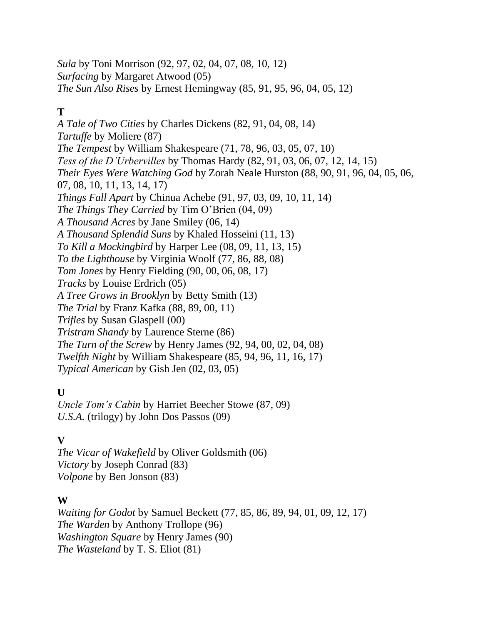*Sula* by Toni Morrison (92, 97, 02, 04, 07, 08, 10, 12) *Surfacing* by Margaret Atwood (05) *The Sun Also Rises* by Ernest Hemingway (85, 91, 95, 96, 04, 05, 12)

# **T**

*A Tale of Two Cities* by Charles Dickens (82, 91, 04, 08, 14) *Tartuffe* by Moliere (87) *The Tempest* by William Shakespeare (71, 78, 96, 03, 05, 07, 10) *Tess of the D'Urbervilles* by Thomas Hardy (82, 91, 03, 06, 07, 12, 14, 15) *Their Eyes Were Watching God* by Zorah Neale Hurston (88, 90, 91, 96, 04, 05, 06, 07, 08, 10, 11, 13, 14, 17) *Things Fall Apart* by Chinua Achebe (91, 97, 03, 09, 10, 11, 14) *The Things They Carried* by Tim O'Brien (04, 09) *A Thousand Acres* by Jane Smiley (06, 14) *A Thousand Splendid Suns* by Khaled Hosseini (11, 13) *To Kill a Mockingbird* by Harper Lee (08, 09, 11, 13, 15) *To the Lighthouse* by Virginia Woolf (77, 86, 88, 08) *Tom Jones* by Henry Fielding (90, 00, 06, 08, 17) *Tracks* by Louise Erdrich (05) *A Tree Grows in Brooklyn* by Betty Smith (13) *The Trial* by Franz Kafka (88, 89, 00, 11) *Trifles* by Susan Glaspell (00) *Tristram Shandy* by Laurence Sterne (86) *The Turn of the Screw* by Henry James (92, 94, 00, 02, 04, 08) *Twelfth Night* by William Shakespeare (85, 94, 96, 11, 16, 17) *Typical American* by Gish Jen (02, 03, 05)

### **U**

*Uncle Tom's Cabin* by Harriet Beecher Stowe (87, 09) *U.S.A.* (trilogy) by John Dos Passos (09)

#### **V**

*The Vicar of Wakefield* by Oliver Goldsmith (06) *Victory* by Joseph Conrad (83) *Volpone* by Ben Jonson (83)

#### **W**

*Waiting for Godot* by Samuel Beckett (77, 85, 86, 89, 94, 01, 09, 12, 17) *The Warden* by Anthony Trollope (96) *Washington Square* by Henry James (90) *The Wasteland* by T. S. Eliot (81)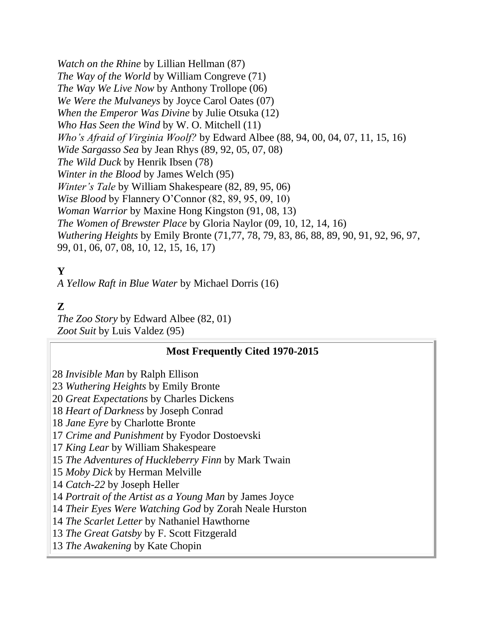*Watch on the Rhine* by Lillian Hellman (87) *The Way of the World* by William Congreve (71) *The Way We Live Now* by Anthony Trollope (06) *We Were the Mulvaneys* by Joyce Carol Oates (07) *When the Emperor Was Divine* by Julie Otsuka (12) *Who Has Seen the Wind* by W. O. Mitchell (11) *Who's Afraid of Virginia Woolf?* by Edward Albee (88, 94, 00, 04, 07, 11, 15, 16) *Wide Sargasso Sea* by Jean Rhys (89, 92, 05, 07, 08) *The Wild Duck* by Henrik Ibsen (78) *Winter in the Blood* by James Welch (95) *Winter's Tale* by William Shakespeare (82, 89, 95, 06) *Wise Blood* by Flannery O'Connor (82, 89, 95, 09, 10) *Woman Warrior* by Maxine Hong Kingston (91, 08, 13) *The Women of Brewster Place* by Gloria Naylor (09, 10, 12, 14, 16) *Wuthering Heights* by Emily Bronte (71,77, 78, 79, 83, 86, 88, 89, 90, 91, 92, 96, 97, 99, 01, 06, 07, 08, 10, 12, 15, 16, 17)

# **Y**

*A Yellow Raft in Blue Water* by Michael Dorris (16)

# **Z**

*The Zoo Story* by Edward Albee (82, 01) *Zoot Suit* by Luis Valdez (95)

#### **Most Frequently Cited 1970-2015**

28 *Invisible Man* by Ralph Ellison

23 *Wuthering Heights* by Emily Bronte

20 *Great Expectations* by Charles Dickens

18 *Heart of Darkness* by Joseph Conrad

18 *Jane Eyre* by Charlotte Bronte

17 *Crime and Punishment* by Fyodor Dostoevski

17 *King Lear* by William Shakespeare

15 *The Adventures of Huckleberry Finn* by Mark Twain

15 *Moby Dick* by Herman Melville

14 *Catch-22* by Joseph Heller

14 *Portrait of the Artist as a Young Man* by James Joyce

14 *Their Eyes Were Watching God* by Zorah Neale Hurston

14 *The Scarlet Letter* by Nathaniel Hawthorne

13 *The Great Gatsby* by F. Scott Fitzgerald

13 *The Awakening* by Kate Chopin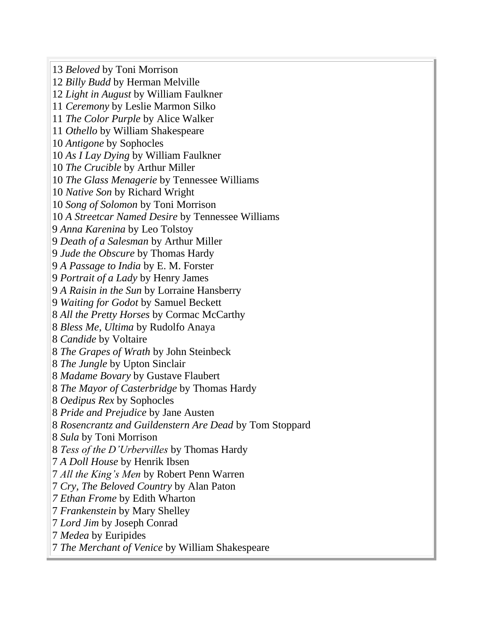*Beloved* by Toni Morrison *Billy Budd* by Herman Melville *Light in August* by William Faulkner *Ceremony* by Leslie Marmon Silko *The Color Purple* by Alice Walker *Othello* by William Shakespeare *Antigone* by Sophocles *As I Lay Dying* by William Faulkner *The Crucible* by Arthur Miller *The Glass Menagerie* by Tennessee Williams *Native Son* by Richard Wright *Song of Solomon* by Toni Morrison *A Streetcar Named Desire* by Tennessee Williams *Anna Karenina* by Leo Tolstoy *Death of a Salesman* by Arthur Miller *Jude the Obscure* by Thomas Hardy *A Passage to India* by E. M. Forster *Portrait of a Lady* by Henry James *A Raisin in the Sun* by Lorraine Hansberry *Waiting for Godot* by Samuel Beckett *All the Pretty Horses* by Cormac McCarthy *Bless Me, Ultima* by Rudolfo Anaya *Candide* by Voltaire *The Grapes of Wrath* by John Steinbeck *The Jungle* by Upton Sinclair *Madame Bovary* by Gustave Flaubert *The Mayor of Casterbridge* by Thomas Hardy *Oedipus Rex* by Sophocles *Pride and Prejudice* by Jane Austen *Rosencrantz and Guildenstern Are Dead* by Tom Stoppard *Sula* by Toni Morrison *Tess of the D'Urbervilles* by Thomas Hardy *A Doll House* by Henrik Ibsen *All the King's Men* by Robert Penn Warren *Cry, The Beloved Country* by Alan Paton *7 Ethan Frome* by Edith Wharton *Frankenstein* by Mary Shelley *Lord Jim* by Joseph Conrad *Medea* by Euripides *The Merchant of Venice* by William Shakespeare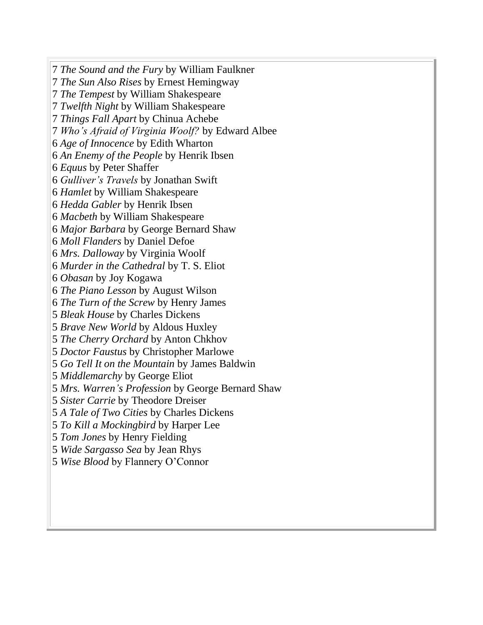*The Sound and the Fury* by William Faulkner *The Sun Also Rises* by Ernest Hemingway *The Tempest* by William Shakespeare *Twelfth Night* by William Shakespeare *Things Fall Apart* by Chinua Achebe *Who's Afraid of Virginia Woolf?* by Edward Albee *Age of Innocence* by Edith Wharton *An Enemy of the People* by Henrik Ibsen *Equus* by Peter Shaffer *Gulliver's Travels* by Jonathan Swift *Hamlet* by William Shakespeare *Hedda Gabler* by Henrik Ibsen *Macbeth* by William Shakespeare *Major Barbara* by George Bernard Shaw *Moll Flanders* by Daniel Defoe *Mrs. Dalloway* by Virginia Woolf *Murder in the Cathedral* by T. S. Eliot *Obasan* by Joy Kogawa *The Piano Lesson* by August Wilson *The Turn of the Screw* by Henry James *Bleak House* by Charles Dickens *Brave New World* by Aldous Huxley *The Cherry Orchard* by Anton Chkhov *Doctor Faustus* by Christopher Marlowe *Go Tell It on the Mountain* by James Baldwin *Middlemarchy* by George Eliot *Mrs. Warren's Profession* by George Bernard Shaw *Sister Carrie* by Theodore Dreiser *A Tale of Two Cities* by Charles Dickens *To Kill a Mockingbird* by Harper Lee *Tom Jones* by Henry Fielding *Wide Sargasso Sea* by Jean Rhys *Wise Blood* by Flannery O'Connor